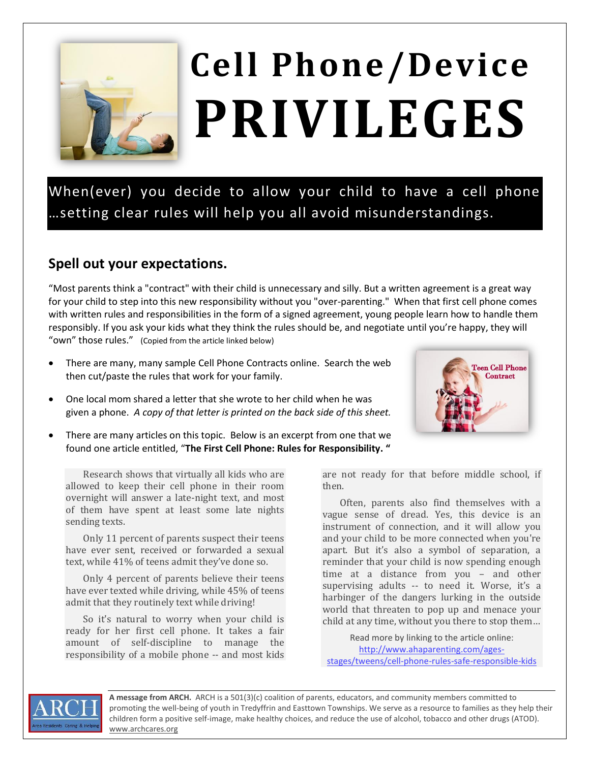

## **Cell Phone/Device PRIVILEGES**

When(ever) you decide to allow your child to have a cell phone …setting clear rules will help you all avoid misunderstandings.

## **Spell out your expectations.**

"Most parents think a "contract" with their child is unnecessary and silly. But a written agreement is a great way for your child to step into this new responsibility without you "over-parenting." When that first cell phone comes with written rules and responsibilities in the form of a signed agreement, young people learn how to handle them responsibly. If you ask your kids what they think the rules should be, and negotiate until you're happy, they will "own" those rules." (Copied from the article linked below)

- There are many, many sample Cell Phone Contracts online. Search the web then cut/paste the rules that work for your family.
- One local mom shared a letter that she wrote to her child when he was given a phone. *A copy of that letter is printed on the back side of this sheet.*
- There are many articles on this topic. Below is an excerpt from one that we found one article entitled, "**The First Cell Phone: Rules for Responsibility. "**

Research shows that virtually all kids who are allowed to keep their cell phone in their room overnight will answer a late-night text, and most of them have spent at least some late nights sending texts.

Only 11 percent of parents suspect their teens have ever sent, received or forwarded a sexual text, while 41% of teens admit they've done so.

Only 4 percent of parents believe their teens have ever texted while driving, while 45% of teens admit that they routinely text while driving!

So it's natural to worry when your child is ready for her first cell phone. It takes a fair amount of self-discipline to manage the responsibility of a mobile phone -- and most kids are not ready for that before middle school, if then.

Often, parents also find themselves with a vague sense of dread. Yes, this device is an instrument of connection, and it will allow you and your child to be more connected when you're apart. But it's also a symbol of separation, a reminder that your child is now spending enough time at a distance from you – and other supervising adults -- to need it. Worse, it's a harbinger of the dangers lurking in the outside world that threaten to pop up and menace your child at any time, without you there to stop them…

Read more by linking to the article online: [http://www.ahaparenting.com/ages](http://www.ahaparenting.com/ages-stages/tweens/cell-phone-rules-safe-responsible-kids)[stages/tweens/cell-phone-rules-safe-responsible-kids](http://www.ahaparenting.com/ages-stages/tweens/cell-phone-rules-safe-responsible-kids)



**A message from ARCH.** ARCH is a 501(3)(c) coalition of parents, educators, and community members committed to promoting the well-being of youth in Tredyffrin and Easttown Townships. We serve as a resource to families as they help their children form a positive self-image, make healthy choices, and reduce the use of alcohol, tobacco and other drugs (ATOD). [www.archcares.org](http://www.archcares.org/)